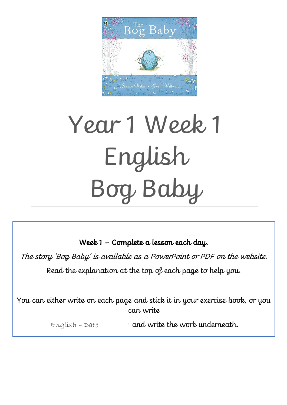

# Year 1 Week 1 English Bog Baby

Week 1 – Complete a lesson each day.

 $\overline{a}$ 

The story 'Bog Baby' is available as a PowerPoint or PDF on the website.

Read the explanation at the top of each page to help you.

You can either write on each page and stick it in your exercise book, or you can write

'English – Date \_\_\_\_\_\_\_\_\_' and write the work underneath.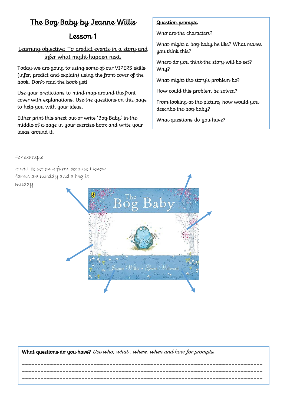### Lesson 1

Learning objective: To predict events in a story and infer what might happen next.

Today we are going to using some of our VIPERS skills (infer, predict and explain) using the front cover of the book. Don't read the book yet!

Use your predictions to mind map around the front cover with explanations. Use the questions on this page to help you with your ideas.

Either print this sheet out or write 'Bog Baby' in the middle of a page in your exercise book and write your ideas around it.

### Question prompts

Who are the characters?

What might a bog baby be like? What makes you think this?

Where do you think the story will be set? Why?

What might the story's problem be?

How could this problem be solved?

From looking at the picture, how would you describe the bog baby?

What questions do you have?

For example

It will be set on a farm because I know farms are muddy and a bog is muddy.



What questions do you have? Use who, what, where, when and how for prompts.

\_\_\_\_\_\_\_\_\_\_\_\_\_\_\_\_\_\_\_\_\_\_\_\_\_\_\_\_\_\_\_\_\_\_\_\_\_\_\_\_\_\_\_\_\_\_\_\_\_\_\_\_\_\_\_\_\_\_\_\_\_\_\_\_\_\_\_\_\_\_\_\_\_\_\_\_\_ \_\_\_\_\_\_\_\_\_\_\_\_\_\_\_\_\_\_\_\_\_\_\_\_\_\_\_\_\_\_\_\_\_\_\_\_\_\_\_\_\_\_\_\_\_\_\_\_\_\_\_\_\_\_\_\_\_\_\_\_\_\_\_\_\_\_\_\_\_\_\_\_\_\_\_\_\_ \_\_\_\_\_\_\_\_\_\_\_\_\_\_\_\_\_\_\_\_\_\_\_\_\_\_\_\_\_\_\_\_\_\_\_\_\_\_\_\_\_\_\_\_\_\_\_\_\_\_\_\_\_\_\_\_\_\_\_\_\_\_\_\_\_\_\_\_\_\_\_\_\_\_\_\_\_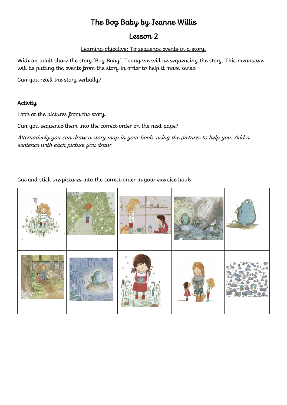### Lesson 2

#### Learning objective: To sequence events in a story.

With an adult share the story 'Bog Baby'. Today we will be sequencing the story. This means we will be putting the events from the story in order to help it make sense.

Can you retell the story verbally?

### **Activity**

Look at the pictures from the story.

Can you sequence them into the correct order on the next page?

Alternatively you can draw a story map in your book, using the pictures to help you. Add a sentence with each picture you draw.

Cut and stick the pictures into the correct order in your exercise book.

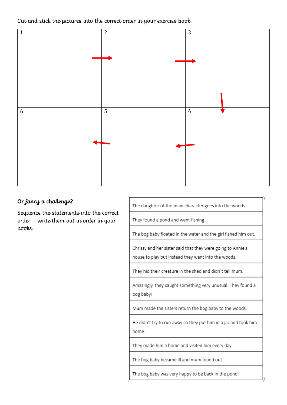Cut and stick the pictures into the correct order in your exercise book.



### Or fancy a challenge?

Sequence the statements into the correct order - write them out in order in your  $h$  $\sigma$  $\sigma$  $ks$ .

The daughter of the main character goes into the woods.

They found a pond and went fishing.

The bog baby floated in the water and the girl fished him out.

Chrissy and her sister said that they were going to Annie's house to play but instead they went into the woods.

They hid their creature in the shed and didn't tell mum.

Amazingly, they caught something very unusual. They found a bog baby!

Mum made the sisters return the bog baby to the woods.

He didn't try to run away so they put him in a jar and took him home.

They made him a home and visited him every day.

The bog baby became ill and mum found out.

The bog baby was very happy to be back in the pond.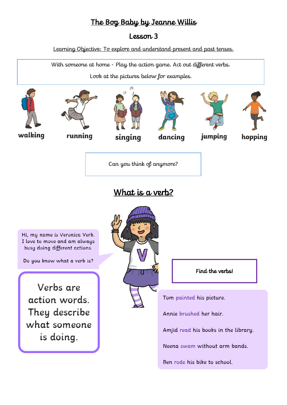### Lesson 3

Learning Objective: To explore and understand present and past tenses.

With someone at home - Play the action game. Act out different verbs.

Look at the pictures below for examples.



# What is a verb?

Hi, my name is Veronica Verb. I love to move and am always busy doing different actions.

Do you know what a verb is?

Verbs are action words. They describe what someone is doing.



Find the verbs!

Tom painted his picture.

Annie brushed her hair.

Amjid read his books in the library.

Neena swam without arm bands.

Ben rode his bike to school.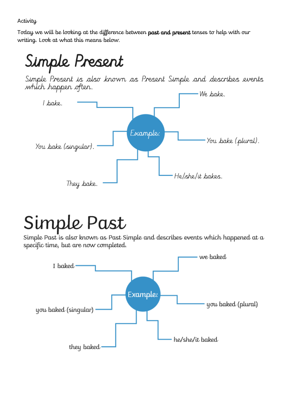**Activity** 

Today we will be looking at the difference between past and present tenses to help with our writing. Look at what this means below.

# Simple Present

Simple Present is also known as Present Simple and describes events which happen often.



# Simple Past

Simple Past is also known as Past Simple and describes events which happened at a specific time, but are now completed.

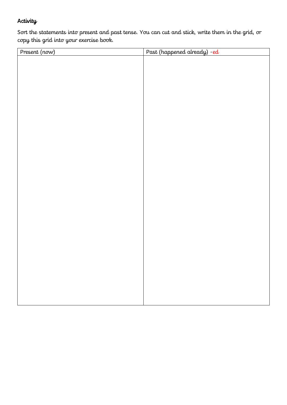### **Activity**

Sort the statements into present and past tense. You can cut and stick, write them in the grid, or copy this grid into your exercise book.

| Present (now) | Past (happened already) - ed |
|---------------|------------------------------|
|               |                              |
|               |                              |
|               |                              |
|               |                              |
|               |                              |
|               |                              |
|               |                              |
|               |                              |
|               |                              |
|               |                              |
|               |                              |
|               |                              |
|               |                              |
|               |                              |
|               |                              |
|               |                              |
|               |                              |
|               |                              |
|               |                              |
|               |                              |
|               |                              |
|               |                              |
|               |                              |
|               |                              |
|               |                              |
|               |                              |
|               |                              |
|               |                              |
|               |                              |
|               |                              |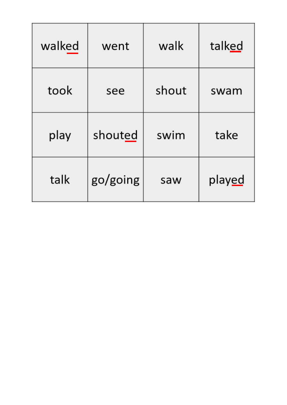| walked | went     | walk  | talked         |
|--------|----------|-------|----------------|
| took   | see      | shout | swam           |
| play   | shouted  | swim  | take           |
| talk   | go/going | saw   | play <u>ed</u> |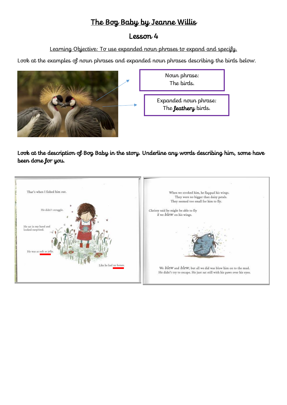### Lesson 4

Learning Objective: To use expanded noun phrases to expand and specify.

Look at the examples of noun phrases and expanded noun phrases describing the birds below.



Look at the description of Bog Baby in the story. Underline any words describing him, some have been done for you.

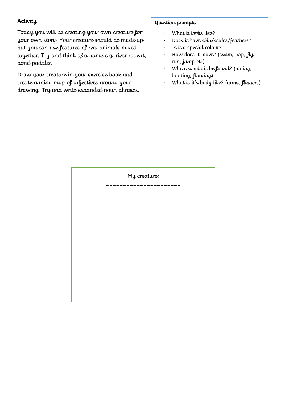### **Activity**

Today you will be creating your own creature for your own story. Your creature should be made up but you can use features of real animals mixed together. Try and think of a name e.g. river rodent, pond paddler.

Draw your creature in your exercise book and create a mind map of adjectives around your drawing. Try and write expanded noun phrases.

#### Question prompts

- What it looks like?
- Does it have skin/scales/feathers?
- Is it a special colour?
- How does it move? (swim, hop,  $\mu$ run, jump etc)
- Where would it be found? (hiding, hunting, floating)
- What is it's body like? (arms, flippers)

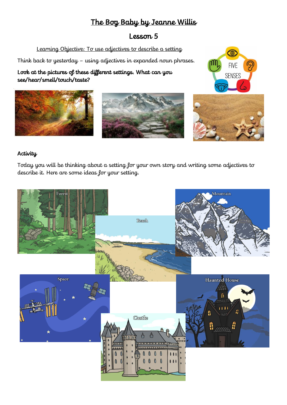### Lesson 5

Learning Objective: To use adjectives to describe a setting

Think back to yesterday – using adjectives in expanded noun phrases.

Look at the pictures of these different settings. What can you see/hear/smell/touch/taste?







### **Activity**

Today you will be thinking about a setting for your own story and writing some adjectives to describe it. Here are some ideas for your setting.